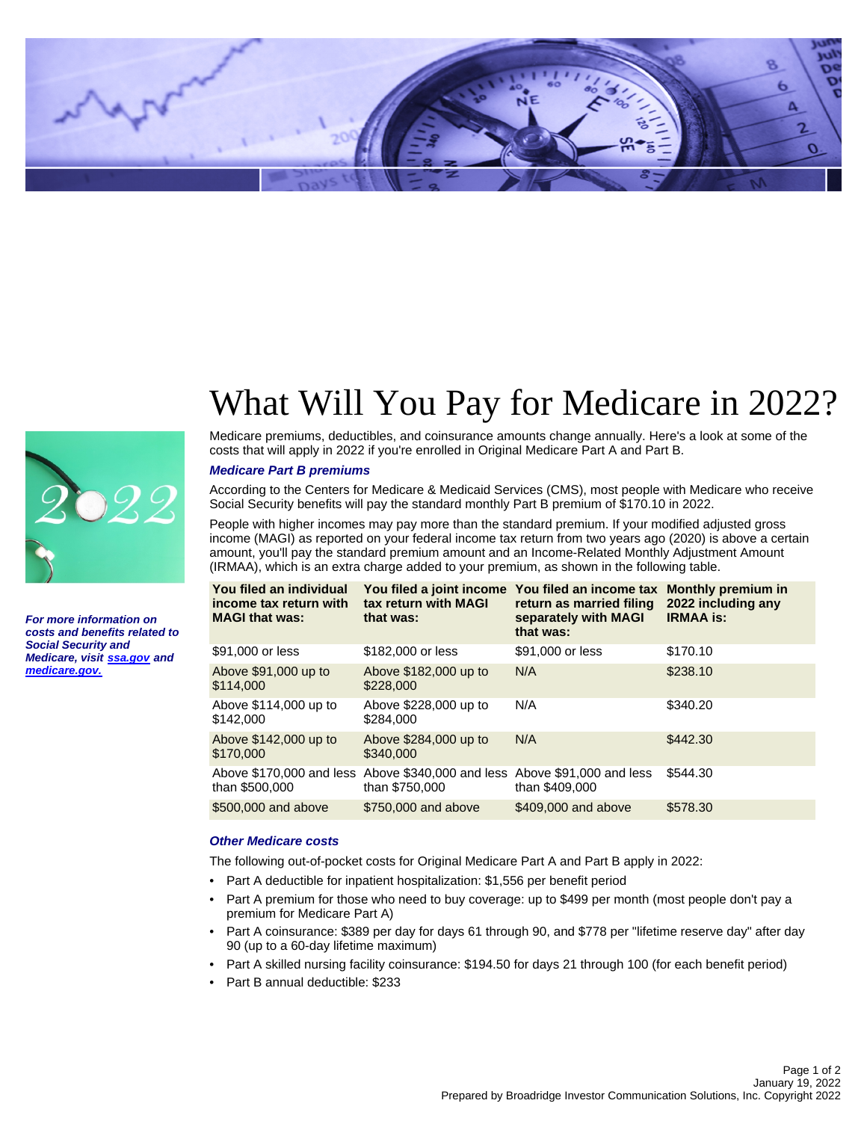

**For more information on costs and benefits related to Social Security and Medicare, visit [ssa.gov](http://www.socialsecurity.gov) and [medicare.gov.](http://www.medicare.gov)**

# What Will You Pay for Medicare in 2022?

Medicare premiums, deductibles, and coinsurance amounts change annually. Here's a look at some of the costs that will apply in 2022 if you're enrolled in Original Medicare Part A and Part B.

### **Medicare Part B premiums**

According to the Centers for Medicare & Medicaid Services (CMS), most people with Medicare who receive Social Security benefits will pay the standard monthly Part B premium of \$170.10 in 2022.

People with higher incomes may pay more than the standard premium. If your modified adjusted gross income (MAGI) as reported on your federal income tax return from two years ago (2020) is above a certain amount, you'll pay the standard premium amount and an Income-Related Monthly Adjustment Amount (IRMAA), which is an extra charge added to your premium, as shown in the following table.

| You filed an individual<br>income tax return with<br><b>MAGI that was:</b> | tax return with MAGI<br>that was:                                  | You filed a joint income You filed an income tax<br>return as married filing<br>separately with MAGI<br>that was: | <b>Monthly premium in</b><br>2022 including any<br><b>IRMAA is:</b> |
|----------------------------------------------------------------------------|--------------------------------------------------------------------|-------------------------------------------------------------------------------------------------------------------|---------------------------------------------------------------------|
| \$91,000 or less                                                           | \$182,000 or less                                                  | \$91,000 or less                                                                                                  | \$170.10                                                            |
| Above \$91,000 up to<br>\$114.000                                          | Above \$182,000 up to<br>\$228,000                                 | N/A                                                                                                               | \$238.10                                                            |
| Above \$114,000 up to<br>\$142,000                                         | Above \$228,000 up to<br>\$284,000                                 | N/A                                                                                                               | \$340.20                                                            |
| Above \$142,000 up to<br>\$170,000                                         | Above \$284,000 up to<br>\$340,000                                 | N/A                                                                                                               | \$442.30                                                            |
| Above \$170,000 and less<br>than \$500,000                                 | Above \$340,000 and less Above \$91,000 and less<br>than \$750,000 | than \$409,000                                                                                                    | \$544.30                                                            |
| \$500,000 and above                                                        | \$750,000 and above                                                | \$409,000 and above                                                                                               | \$578.30                                                            |

# **Other Medicare costs**

The following out-of-pocket costs for Original Medicare Part A and Part B apply in 2022:

- Part A deductible for inpatient hospitalization: \$1,556 per benefit period
- Part A premium for those who need to buy coverage: up to \$499 per month (most people don't pay a premium for Medicare Part A)
- Part A coinsurance: \$389 per day for days 61 through 90, and \$778 per "lifetime reserve day" after day 90 (up to a 60-day lifetime maximum)
- Part A skilled nursing facility coinsurance: \$194.50 for days 21 through 100 (for each benefit period)
- Part B annual deductible: \$233